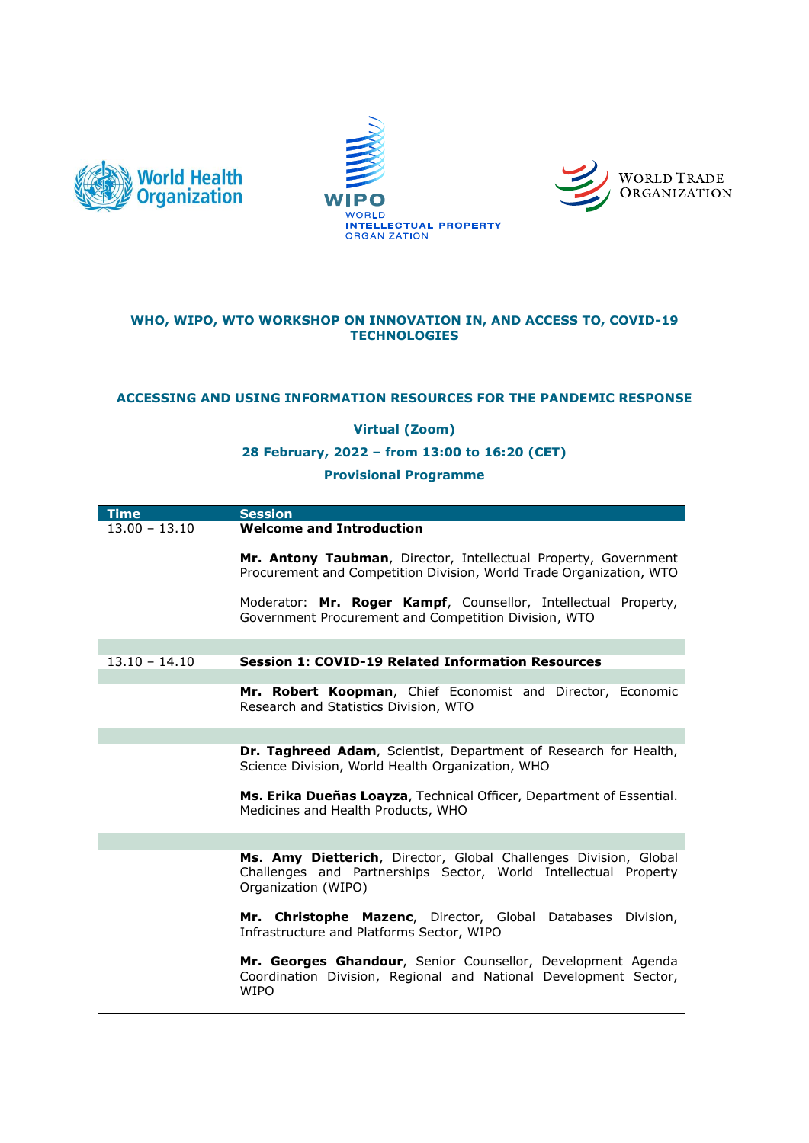





### **WHO, WIPO, WTO WORKSHOP ON INNOVATION IN, AND ACCESS TO, COVID-19 TECHNOLOGIES**

# **ACCESSING AND USING INFORMATION RESOURCES FOR THE PANDEMIC RESPONSE**

## **Virtual (Zoom)**

### **28 February, 2022 – from 13:00 to 16:20 (CET)**

### **Provisional Programme**

| <b>Time</b>     | <b>Session</b>                                                                                                                                                                                                                                                   |
|-----------------|------------------------------------------------------------------------------------------------------------------------------------------------------------------------------------------------------------------------------------------------------------------|
| $13.00 - 13.10$ | <b>Welcome and Introduction</b>                                                                                                                                                                                                                                  |
|                 | Mr. Antony Taubman, Director, Intellectual Property, Government<br>Procurement and Competition Division, World Trade Organization, WTO<br>Moderator: Mr. Roger Kampf, Counsellor, Intellectual Property,<br>Government Procurement and Competition Division, WTO |
|                 |                                                                                                                                                                                                                                                                  |
| $13.10 - 14.10$ | <b>Session 1: COVID-19 Related Information Resources</b>                                                                                                                                                                                                         |
|                 |                                                                                                                                                                                                                                                                  |
|                 | Mr. Robert Koopman, Chief Economist and Director, Economic<br>Research and Statistics Division, WTO                                                                                                                                                              |
|                 |                                                                                                                                                                                                                                                                  |
|                 | <b>Dr. Taghreed Adam</b> , Scientist, Department of Research for Health,<br>Science Division, World Health Organization, WHO                                                                                                                                     |
|                 | Ms. Erika Dueñas Loayza, Technical Officer, Department of Essential.<br>Medicines and Health Products, WHO                                                                                                                                                       |
|                 |                                                                                                                                                                                                                                                                  |
|                 | Ms. Amy Dietterich, Director, Global Challenges Division, Global<br>Challenges and Partnerships Sector, World Intellectual Property<br>Organization (WIPO)                                                                                                       |
|                 | Mr. Christophe Mazenc, Director, Global Databases Division,<br>Infrastructure and Platforms Sector, WIPO                                                                                                                                                         |
|                 | Mr. Georges Ghandour, Senior Counsellor, Development Agenda<br>Coordination Division, Regional and National Development Sector,<br><b>WIPO</b>                                                                                                                   |